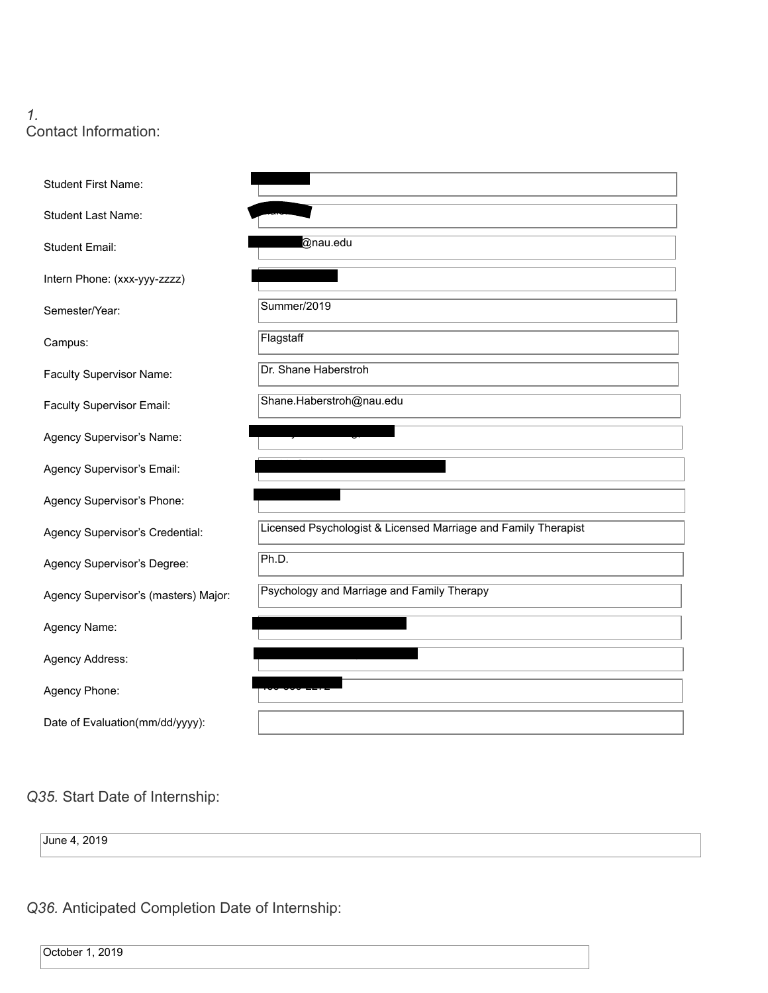### *1.* Contact Information:

| <b>Student First Name:</b>           |                                                                |
|--------------------------------------|----------------------------------------------------------------|
| <b>Student Last Name:</b>            |                                                                |
| <b>Student Email:</b>                | @nau.edu                                                       |
| Intern Phone: (xxx-yyy-zzzz)         |                                                                |
| Semester/Year:                       | Summer/2019                                                    |
| Campus:                              | Flagstaff                                                      |
| Faculty Supervisor Name:             | Dr. Shane Haberstroh                                           |
| Faculty Supervisor Email:            | Shane.Haberstroh@nau.edu                                       |
| Agency Supervisor's Name:            |                                                                |
| Agency Supervisor's Email:           |                                                                |
| Agency Supervisor's Phone:           |                                                                |
| Agency Supervisor's Credential:      | Licensed Psychologist & Licensed Marriage and Family Therapist |
| Agency Supervisor's Degree:          | Ph.D.                                                          |
| Agency Supervisor's (masters) Major: | Psychology and Marriage and Family Therapy                     |
| Agency Name:                         |                                                                |
| Agency Address:                      |                                                                |
| Agency Phone:                        |                                                                |
|                                      |                                                                |

**Q35.** Start Date of Internship:

June 4, 2019

**Q36.** Anticipated Completion Date of Internship:

October 1, 2019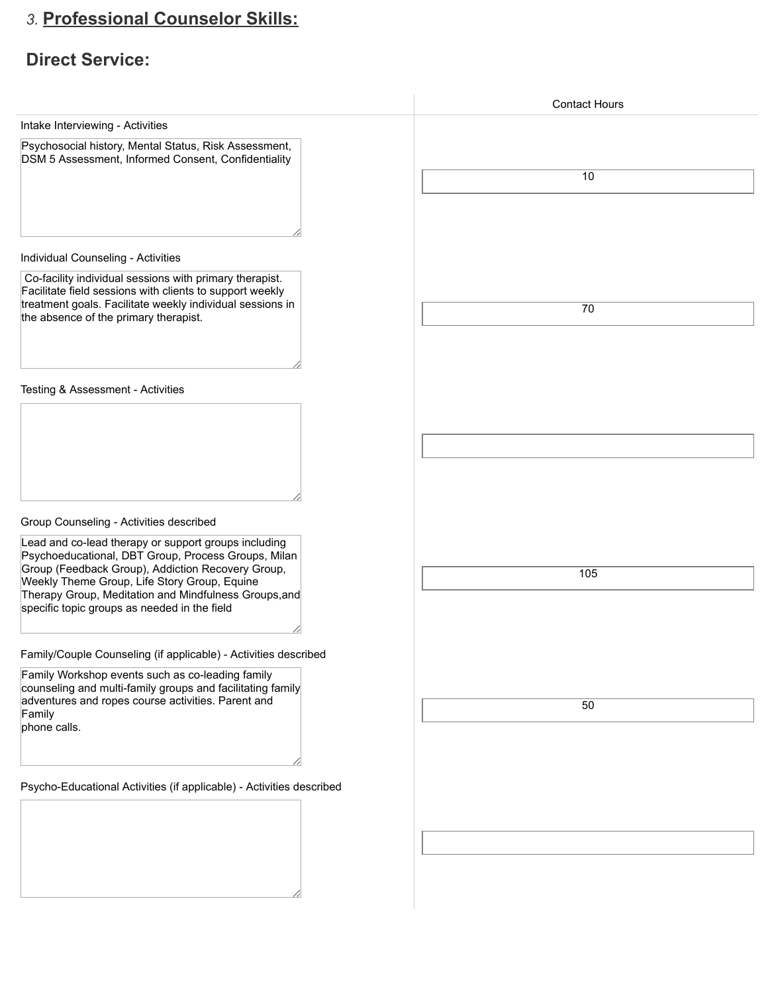# *3.* **Professional Counselor Skills: Professional Counselor Skills:**

## **Direct Service: Direct Service:**

|                                                                                                                                                                                                                                                                                                                      | <b>Contact Hours</b> |
|----------------------------------------------------------------------------------------------------------------------------------------------------------------------------------------------------------------------------------------------------------------------------------------------------------------------|----------------------|
| Intake Interviewing - Activities                                                                                                                                                                                                                                                                                     |                      |
| Psychosocial history, Mental Status, Risk Assessment,<br>DSM 5 Assessment, Informed Consent, Confidentiality                                                                                                                                                                                                         | 10                   |
| Individual Counseling - Activities                                                                                                                                                                                                                                                                                   |                      |
| Co-facility individual sessions with primary therapist.<br>Facilitate field sessions with clients to support weekly<br>treatment goals. Facilitate weekly individual sessions in<br>the absence of the primary therapist.                                                                                            | 70                   |
| Testing & Assessment - Activities                                                                                                                                                                                                                                                                                    |                      |
| Group Counseling - Activities described<br>Lead and co-lead therapy or support groups including<br>Psychoeducational, DBT Group, Process Groups, Milan<br>Group (Feedback Group), Addiction Recovery Group,<br>Weekly Theme Group, Life Story Group, Equine<br>Therapy Group, Meditation and Mindfulness Groups, and | 105                  |
| specific topic groups as needed in the field                                                                                                                                                                                                                                                                         |                      |
| Family/Couple Counseling (if applicable) - Activities described<br>Family Workshop events such as co-leading family<br>counseling and multi-family groups and facilitating family<br>adventures and ropes course activities. Parent and<br>Family<br>phone calls.                                                    | 50                   |
| Psycho-Educational Activities (if applicable) - Activities described                                                                                                                                                                                                                                                 |                      |
|                                                                                                                                                                                                                                                                                                                      |                      |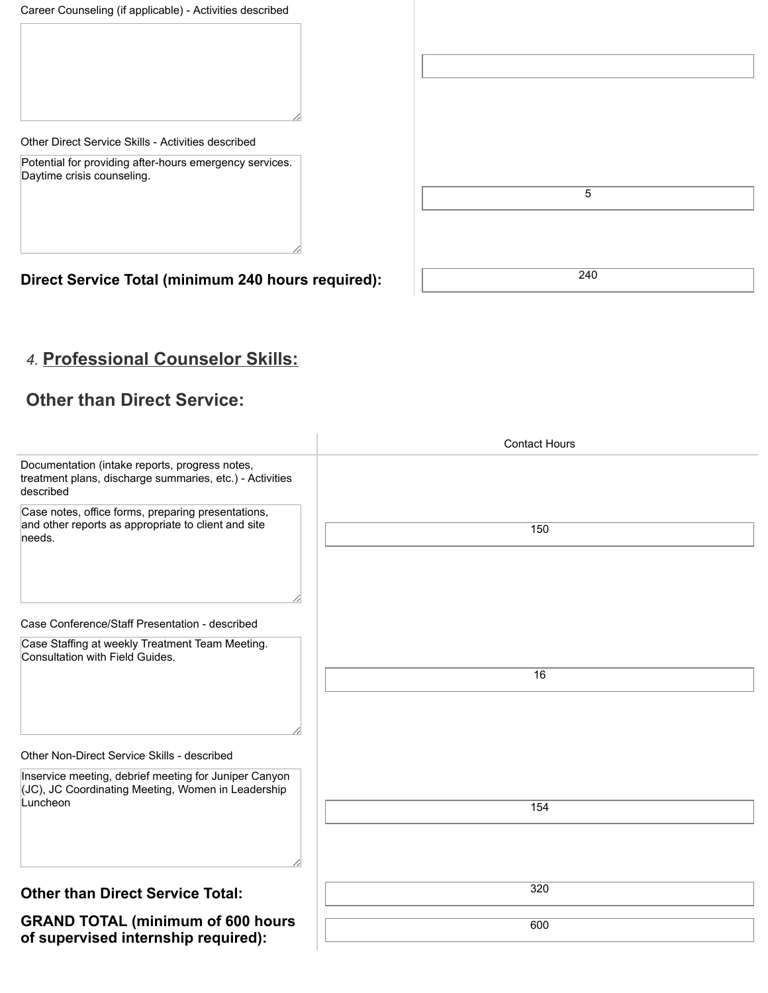Career Counseling (if applicable) - Activities described

Other Direct Service Skills - Activities described

Potential for providing after-hours emergency services. Daytime crisis counseling.

| $\overline{5}$ |
|----------------|
|                |
|                |
| 240            |

**Direct Service Total (minimum 240 hours required):** 

## *4.* **Professional Counselor Skills: Professional Counselor Skills:**

### **Other than Direct Service:**

|                                                                                                                         | <b>Contact Hours</b> |
|-------------------------------------------------------------------------------------------------------------------------|----------------------|
| Documentation (intake reports, progress notes,<br>treatment plans, discharge summaries, etc.) - Activities<br>described |                      |
| Case notes, office forms, preparing presentations,<br>and other reports as appropriate to client and site<br>needs.     | 150                  |
|                                                                                                                         |                      |
| Case Conference/Staff Presentation - described                                                                          |                      |
| Case Staffing at weekly Treatment Team Meeting.<br>Consultation with Field Guides.                                      |                      |
|                                                                                                                         | 16                   |
|                                                                                                                         |                      |
| Other Non-Direct Service Skills - described                                                                             |                      |
| Inservice meeting, debrief meeting for Juniper Canyon<br>(JC), JC Coordinating Meeting, Women in Leadership<br>Luncheon |                      |
|                                                                                                                         | 154                  |
|                                                                                                                         |                      |
| <b>Other than Direct Service Total:</b>                                                                                 | 320                  |
| <b>GRAND TOTAL (minimum of 600 hours)</b>                                                                               | 600                  |
| of supervised internship required):                                                                                     |                      |